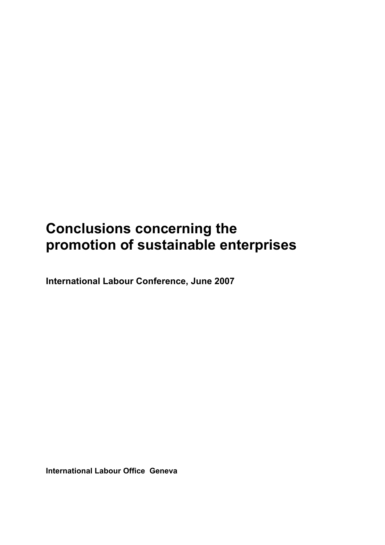# **Conclusions concerning the promotion of sustainable enterprises**

**International Labour Conference, June 2007** 

**International Labour Office Geneva**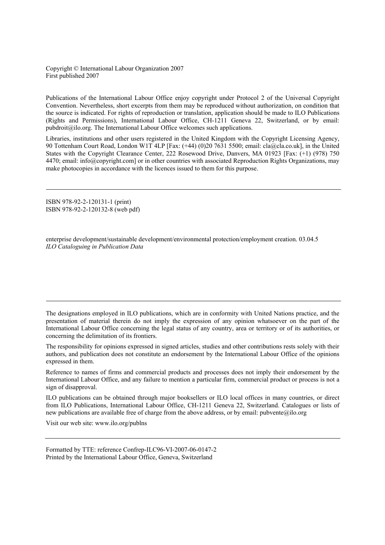Copyright © International Labour Organization 2007 First published 2007

Publications of the International Labour Office enjoy copyright under Protocol 2 of the Universal Copyright Convention. Nevertheless, short excerpts from them may be reproduced without authorization, on condition that the source is indicated. For rights of reproduction or translation, application should be made to ILO Publications (Rights and Permissions), International Labour Office, CH-1211 Geneva 22, Switzerland, or by email:  $public <sub>0</sub>$  international Labour Office welcomes such applications.

Libraries, institutions and other users registered in the United Kingdom with the Copyright Licensing Agency, 90 Tottenham Court Road, London W1T 4LP [Fax: (+44) (0)20 7631 5500; email: cla@cla.co.uk], in the United States with the Copyright Clearance Center, 222 Rosewood Drive, Danvers, MA 01923 [Fax: (+1) (978) 750 4470; email: info@copyright.com] or in other countries with associated Reproduction Rights Organizations, may make photocopies in accordance with the licences issued to them for this purpose.

ISBN 978-92-2-120131-1 (print) ISBN 978-92-2-120132-8 (web pdf)

enterprise development/sustainable development/environmental protection/employment creation. 03.04.5 *ILO Cataloguing in Publication Data* 

The designations employed in ILO publications, which are in conformity with United Nations practice, and the presentation of material therein do not imply the expression of any opinion whatsoever on the part of the International Labour Office concerning the legal status of any country, area or territory or of its authorities, or concerning the delimitation of its frontiers.

The responsibility for opinions expressed in signed articles, studies and other contributions rests solely with their authors, and publication does not constitute an endorsement by the International Labour Office of the opinions expressed in them.

Reference to names of firms and commercial products and processes does not imply their endorsement by the International Labour Office, and any failure to mention a particular firm, commercial product or process is not a sign of disapproval.

ILO publications can be obtained through major booksellers or ILO local offices in many countries, or direct from ILO Publications, International Labour Office, CH-1211 Geneva 22, Switzerland. Catalogues or lists of new publications are available free of charge from the above address, or by email: pubvente@ilo.org

Visit our web site: www.ilo.org/publns

Formatted by TTE: reference Confrep-ILC96-VI-2007-06-0147-2 Printed by the International Labour Office, Geneva, Switzerland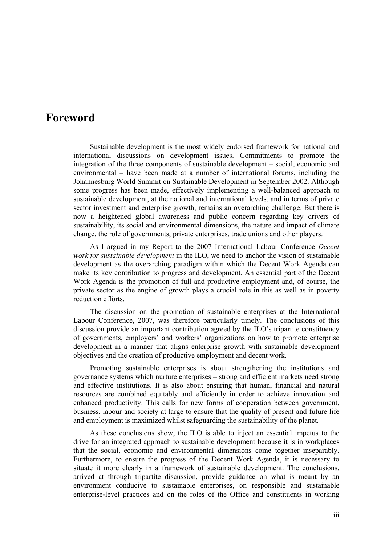### **Foreword**

Sustainable development is the most widely endorsed framework for national and international discussions on development issues. Commitments to promote the integration of the three components of sustainable development – social, economic and environmental – have been made at a number of international forums, including the Johannesburg World Summit on Sustainable Development in September 2002. Although some progress has been made, effectively implementing a well-balanced approach to sustainable development, at the national and international levels, and in terms of private sector investment and enterprise growth, remains an overarching challenge. But there is now a heightened global awareness and public concern regarding key drivers of sustainability, its social and environmental dimensions, the nature and impact of climate change, the role of governments, private enterprises, trade unions and other players.

As I argued in my Report to the 2007 International Labour Conference *Decent work for sustainable development* in the ILO, we need to anchor the vision of sustainable development as the overarching paradigm within which the Decent Work Agenda can make its key contribution to progress and development. An essential part of the Decent Work Agenda is the promotion of full and productive employment and, of course, the private sector as the engine of growth plays a crucial role in this as well as in poverty reduction efforts.

The discussion on the promotion of sustainable enterprises at the International Labour Conference, 2007, was therefore particularly timely. The conclusions of this discussion provide an important contribution agreed by the ILO's tripartite constituency of governments, employers' and workers' organizations on how to promote enterprise development in a manner that aligns enterprise growth with sustainable development objectives and the creation of productive employment and decent work.

Promoting sustainable enterprises is about strengthening the institutions and governance systems which nurture enterprises – strong and efficient markets need strong and effective institutions. It is also about ensuring that human, financial and natural resources are combined equitably and efficiently in order to achieve innovation and enhanced productivity. This calls for new forms of cooperation between government, business, labour and society at large to ensure that the quality of present and future life and employment is maximized whilst safeguarding the sustainability of the planet.

As these conclusions show, the ILO is able to inject an essential impetus to the drive for an integrated approach to sustainable development because it is in workplaces that the social, economic and environmental dimensions come together inseparably. Furthermore, to ensure the progress of the Decent Work Agenda, it is necessary to situate it more clearly in a framework of sustainable development. The conclusions, arrived at through tripartite discussion, provide guidance on what is meant by an environment conducive to sustainable enterprises, on responsible and sustainable enterprise-level practices and on the roles of the Office and constituents in working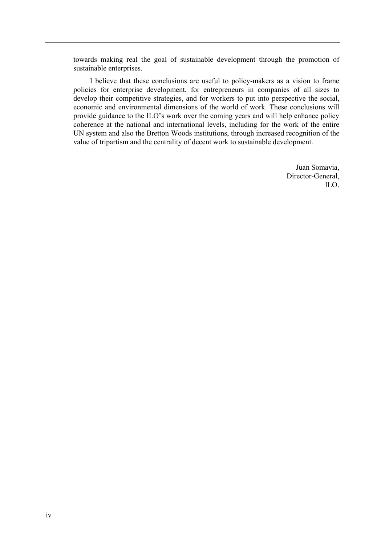towards making real the goal of sustainable development through the promotion of sustainable enterprises.

I believe that these conclusions are useful to policy-makers as a vision to frame policies for enterprise development, for entrepreneurs in companies of all sizes to develop their competitive strategies, and for workers to put into perspective the social, economic and environmental dimensions of the world of work. These conclusions will provide guidance to the ILO's work over the coming years and will help enhance policy coherence at the national and international levels, including for the work of the entire UN system and also the Bretton Woods institutions, through increased recognition of the value of tripartism and the centrality of decent work to sustainable development.

> Juan Somavia, Director-General, ILO.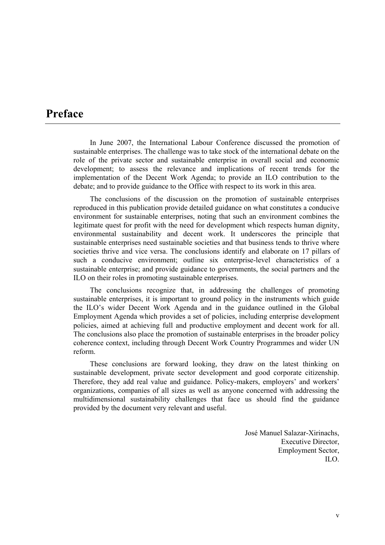# **Preface**

In June 2007, the International Labour Conference discussed the promotion of sustainable enterprises. The challenge was to take stock of the international debate on the role of the private sector and sustainable enterprise in overall social and economic development; to assess the relevance and implications of recent trends for the implementation of the Decent Work Agenda; to provide an ILO contribution to the debate; and to provide guidance to the Office with respect to its work in this area.

The conclusions of the discussion on the promotion of sustainable enterprises reproduced in this publication provide detailed guidance on what constitutes a conducive environment for sustainable enterprises, noting that such an environment combines the legitimate quest for profit with the need for development which respects human dignity, environmental sustainability and decent work. It underscores the principle that sustainable enterprises need sustainable societies and that business tends to thrive where societies thrive and vice versa. The conclusions identify and elaborate on 17 pillars of such a conducive environment; outline six enterprise-level characteristics of a sustainable enterprise; and provide guidance to governments, the social partners and the ILO on their roles in promoting sustainable enterprises.

The conclusions recognize that, in addressing the challenges of promoting sustainable enterprises, it is important to ground policy in the instruments which guide the ILO's wider Decent Work Agenda and in the guidance outlined in the Global Employment Agenda which provides a set of policies, including enterprise development policies, aimed at achieving full and productive employment and decent work for all. The conclusions also place the promotion of sustainable enterprises in the broader policy coherence context, including through Decent Work Country Programmes and wider UN reform.

These conclusions are forward looking, they draw on the latest thinking on sustainable development, private sector development and good corporate citizenship. Therefore, they add real value and guidance. Policy-makers, employers' and workers' organizations, companies of all sizes as well as anyone concerned with addressing the multidimensional sustainability challenges that face us should find the guidance provided by the document very relevant and useful.

> José Manuel Salazar-Xirinachs, Executive Director, Employment Sector, ILO.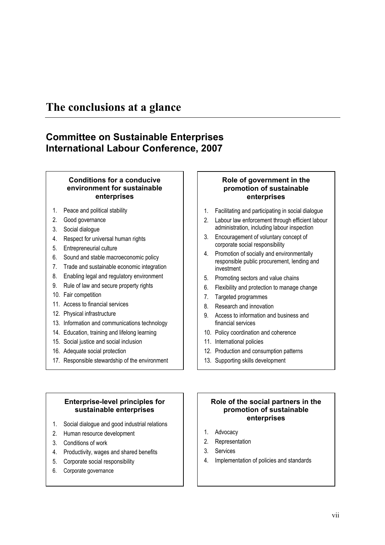# **The conclusions at a glance**

### **Committee on Sustainable Enterprises International Labour Conference, 2007**

#### **Conditions for a conducive environment for sustainable enterprises**

- 1. Peace and political stability
- 2. Good governance
- 3. Social dialogue
- 4. Respect for universal human rights
- 5. Entrepreneurial culture
- 6. Sound and stable macroeconomic policy
- 7. Trade and sustainable economic integration
- 8. Enabling legal and regulatory environment
- 9. Rule of law and secure property rights
- 10. Fair competition
- 11. Access to financial services
- 12. Physical infrastructure
- 13. Information and communications technology
- 14. Education, training and lifelong learning
- 15. Social justice and social inclusion
- 16. Adequate social protection
- 17. Responsible stewardship of the environment

#### **Role of government in the promotion of sustainable enterprises**

- 1. Facilitating and participating in social dialogue
- 2. Labour law enforcement through efficient labour administration, including labour inspection
- 3. Encouragement of voluntary concept of corporate social responsibility
- 4. Promotion of socially and environmentally responsible public procurement, lending and investment
- 5. Promoting sectors and value chains
- 6. Flexibility and protection to manage change
- 7. Targeted programmes
- 8. Research and innovation
- 9. Access to information and business and financial services
- 10. Policy coordination and coherence
- 11. International policies
- 12. Production and consumption patterns
- 13. Supporting skills development

#### **Enterprise-level principles for sustainable enterprises**

- 1. Social dialogue and good industrial relations
- 2. Human resource development
- 3. Conditions of work
- 4. Productivity, wages and shared benefits
- 5. Corporate social responsibility
- 6. Corporate governance

#### **Role of the social partners in the promotion of sustainable enterprises**

- 1. Advocacy
- 2. Representation
- 3. Services
- 4. Implementation of policies and standards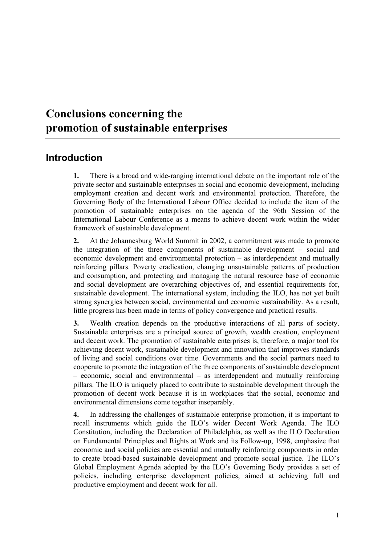# **Conclusions concerning the promotion of sustainable enterprises**

### **Introduction**

**1.** There is a broad and wide-ranging international debate on the important role of the private sector and sustainable enterprises in social and economic development, including employment creation and decent work and environmental protection. Therefore, the Governing Body of the International Labour Office decided to include the item of the promotion of sustainable enterprises on the agenda of the 96th Session of the International Labour Conference as a means to achieve decent work within the wider framework of sustainable development.

**2.** At the Johannesburg World Summit in 2002, a commitment was made to promote the integration of the three components of sustainable development – social and economic development and environmental protection – as interdependent and mutually reinforcing pillars. Poverty eradication, changing unsustainable patterns of production and consumption, and protecting and managing the natural resource base of economic and social development are overarching objectives of, and essential requirements for, sustainable development. The international system, including the ILO, has not yet built strong synergies between social, environmental and economic sustainability. As a result, little progress has been made in terms of policy convergence and practical results.

**3.** Wealth creation depends on the productive interactions of all parts of society. Sustainable enterprises are a principal source of growth, wealth creation, employment and decent work. The promotion of sustainable enterprises is, therefore, a major tool for achieving decent work, sustainable development and innovation that improves standards of living and social conditions over time. Governments and the social partners need to cooperate to promote the integration of the three components of sustainable development – economic, social and environmental – as interdependent and mutually reinforcing pillars. The ILO is uniquely placed to contribute to sustainable development through the promotion of decent work because it is in workplaces that the social, economic and environmental dimensions come together inseparably.

**4.** In addressing the challenges of sustainable enterprise promotion, it is important to recall instruments which guide the ILO's wider Decent Work Agenda. The ILO Constitution, including the Declaration of Philadelphia, as well as the ILO Declaration on Fundamental Principles and Rights at Work and its Follow-up, 1998, emphasize that economic and social policies are essential and mutually reinforcing components in order to create broad-based sustainable development and promote social justice. The ILO's Global Employment Agenda adopted by the ILO's Governing Body provides a set of policies, including enterprise development policies, aimed at achieving full and productive employment and decent work for all.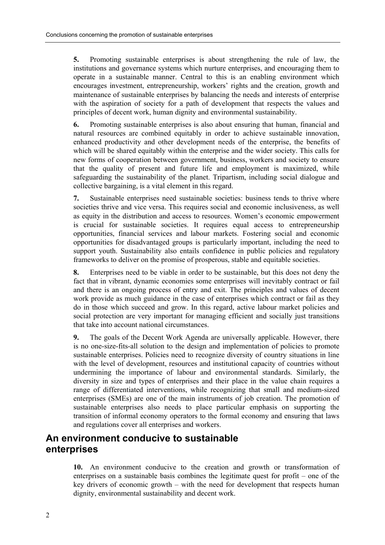**5.** Promoting sustainable enterprises is about strengthening the rule of law, the institutions and governance systems which nurture enterprises, and encouraging them to operate in a sustainable manner. Central to this is an enabling environment which encourages investment, entrepreneurship, workers' rights and the creation, growth and maintenance of sustainable enterprises by balancing the needs and interests of enterprise with the aspiration of society for a path of development that respects the values and principles of decent work, human dignity and environmental sustainability.

**6.** Promoting sustainable enterprises is also about ensuring that human, financial and natural resources are combined equitably in order to achieve sustainable innovation, enhanced productivity and other development needs of the enterprise, the benefits of which will be shared equitably within the enterprise and the wider society. This calls for new forms of cooperation between government, business, workers and society to ensure that the quality of present and future life and employment is maximized, while safeguarding the sustainability of the planet. Tripartism, including social dialogue and collective bargaining, is a vital element in this regard.

**7.** Sustainable enterprises need sustainable societies: business tends to thrive where societies thrive and vice versa. This requires social and economic inclusiveness, as well as equity in the distribution and access to resources. Women's economic empowerment is crucial for sustainable societies. It requires equal access to entrepreneurship opportunities, financial services and labour markets. Fostering social and economic opportunities for disadvantaged groups is particularly important, including the need to support youth. Sustainability also entails confidence in public policies and regulatory frameworks to deliver on the promise of prosperous, stable and equitable societies.

**8.** Enterprises need to be viable in order to be sustainable, but this does not deny the fact that in vibrant, dynamic economies some enterprises will inevitably contract or fail and there is an ongoing process of entry and exit. The principles and values of decent work provide as much guidance in the case of enterprises which contract or fail as they do in those which succeed and grow. In this regard, active labour market policies and social protection are very important for managing efficient and socially just transitions that take into account national circumstances.

**9.** The goals of the Decent Work Agenda are universally applicable. However, there is no one-size-fits-all solution to the design and implementation of policies to promote sustainable enterprises. Policies need to recognize diversity of country situations in line with the level of development, resources and institutional capacity of countries without undermining the importance of labour and environmental standards. Similarly, the diversity in size and types of enterprises and their place in the value chain requires a range of differentiated interventions, while recognizing that small and medium-sized enterprises (SMEs) are one of the main instruments of job creation. The promotion of sustainable enterprises also needs to place particular emphasis on supporting the transition of informal economy operators to the formal economy and ensuring that laws and regulations cover all enterprises and workers.

### **An environment conducive to sustainable enterprises**

**10.** An environment conducive to the creation and growth or transformation of enterprises on a sustainable basis combines the legitimate quest for profit – one of the key drivers of economic growth – with the need for development that respects human dignity, environmental sustainability and decent work.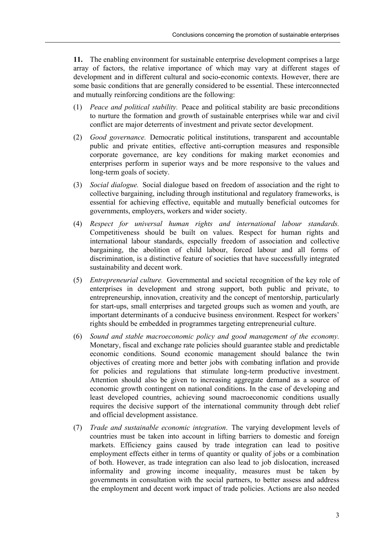**11.** The enabling environment for sustainable enterprise development comprises a large array of factors, the relative importance of which may vary at different stages of development and in different cultural and socio-economic contexts. However, there are some basic conditions that are generally considered to be essential. These interconnected and mutually reinforcing conditions are the following:

- (1) *Peace and political stability.* Peace and political stability are basic preconditions to nurture the formation and growth of sustainable enterprises while war and civil conflict are major deterrents of investment and private sector development.
- (2) *Good governance.* Democratic political institutions, transparent and accountable public and private entities, effective anti-corruption measures and responsible corporate governance, are key conditions for making market economies and enterprises perform in superior ways and be more responsive to the values and long-term goals of society.
- (3) *Social dialogue.* Social dialogue based on freedom of association and the right to collective bargaining, including through institutional and regulatory frameworks, is essential for achieving effective, equitable and mutually beneficial outcomes for governments, employers, workers and wider society.
- (4) *Respect for universal human rights and international labour standards.*  Competitiveness should be built on values. Respect for human rights and international labour standards, especially freedom of association and collective bargaining, the abolition of child labour, forced labour and all forms of discrimination, is a distinctive feature of societies that have successfully integrated sustainability and decent work.
- (5) *Entrepreneurial culture.* Governmental and societal recognition of the key role of enterprises in development and strong support, both public and private, to entrepreneurship, innovation, creativity and the concept of mentorship, particularly for start-ups, small enterprises and targeted groups such as women and youth, are important determinants of a conducive business environment. Respect for workers' rights should be embedded in programmes targeting entrepreneurial culture.
- (6) *Sound and stable macroeconomic policy and good management of the economy.*  Monetary, fiscal and exchange rate policies should guarantee stable and predictable economic conditions. Sound economic management should balance the twin objectives of creating more and better jobs with combating inflation and provide for policies and regulations that stimulate long-term productive investment. Attention should also be given to increasing aggregate demand as a source of economic growth contingent on national conditions. In the case of developing and least developed countries, achieving sound macroeconomic conditions usually requires the decisive support of the international community through debt relief and official development assistance.
- (7) *Trade and sustainable economic integration*. The varying development levels of countries must be taken into account in lifting barriers to domestic and foreign markets. Efficiency gains caused by trade integration can lead to positive employment effects either in terms of quantity or quality of jobs or a combination of both. However, as trade integration can also lead to job dislocation, increased informality and growing income inequality, measures must be taken by governments in consultation with the social partners, to better assess and address the employment and decent work impact of trade policies. Actions are also needed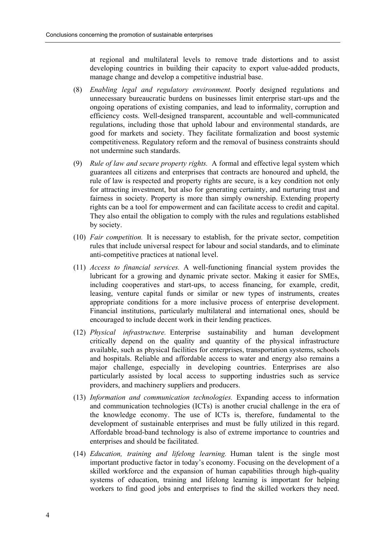at regional and multilateral levels to remove trade distortions and to assist developing countries in building their capacity to export value-added products, manage change and develop a competitive industrial base.

- (8) *Enabling legal and regulatory environment.* Poorly designed regulations and unnecessary bureaucratic burdens on businesses limit enterprise start-ups and the ongoing operations of existing companies, and lead to informality, corruption and efficiency costs. Well-designed transparent, accountable and well-communicated regulations, including those that uphold labour and environmental standards, are good for markets and society. They facilitate formalization and boost systemic competitiveness. Regulatory reform and the removal of business constraints should not undermine such standards.
- (9) *Rule of law and secure property rights.* A formal and effective legal system which guarantees all citizens and enterprises that contracts are honoured and upheld, the rule of law is respected and property rights are secure, is a key condition not only for attracting investment, but also for generating certainty, and nurturing trust and fairness in society. Property is more than simply ownership. Extending property rights can be a tool for empowerment and can facilitate access to credit and capital. They also entail the obligation to comply with the rules and regulations established by society.
- (10) *Fair competition.* It is necessary to establish, for the private sector, competition rules that include universal respect for labour and social standards, and to eliminate anti-competitive practices at national level.
- (11) *Access to financial services.* A well-functioning financial system provides the lubricant for a growing and dynamic private sector. Making it easier for SMEs, including cooperatives and start-ups, to access financing, for example, credit, leasing, venture capital funds or similar or new types of instruments, creates appropriate conditions for a more inclusive process of enterprise development. Financial institutions, particularly multilateral and international ones, should be encouraged to include decent work in their lending practices.
- (12) *Physical infrastructure.* Enterprise sustainability and human development critically depend on the quality and quantity of the physical infrastructure available, such as physical facilities for enterprises, transportation systems, schools and hospitals. Reliable and affordable access to water and energy also remains a major challenge, especially in developing countries. Enterprises are also particularly assisted by local access to supporting industries such as service providers, and machinery suppliers and producers.
- (13) *Information and communication technologies.* Expanding access to information and communication technologies (ICTs) is another crucial challenge in the era of the knowledge economy. The use of ICTs is, therefore, fundamental to the development of sustainable enterprises and must be fully utilized in this regard. Affordable broad-band technology is also of extreme importance to countries and enterprises and should be facilitated.
- (14) *Education, training and lifelong learning.* Human talent is the single most important productive factor in today's economy. Focusing on the development of a skilled workforce and the expansion of human capabilities through high-quality systems of education, training and lifelong learning is important for helping workers to find good jobs and enterprises to find the skilled workers they need.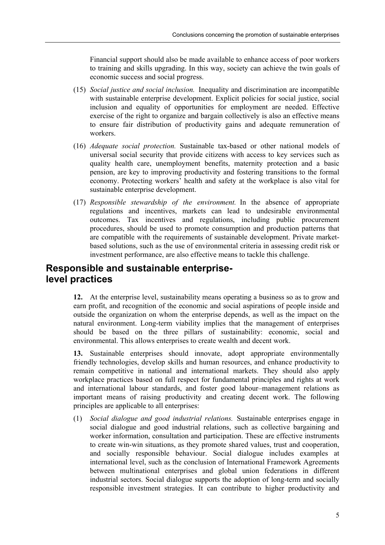Financial support should also be made available to enhance access of poor workers to training and skills upgrading. In this way, society can achieve the twin goals of economic success and social progress.

- (15) *Social justice and social inclusion.* Inequality and discrimination are incompatible with sustainable enterprise development. Explicit policies for social justice, social inclusion and equality of opportunities for employment are needed. Effective exercise of the right to organize and bargain collectively is also an effective means to ensure fair distribution of productivity gains and adequate remuneration of workers.
- (16) *Adequate social protection.* Sustainable tax-based or other national models of universal social security that provide citizens with access to key services such as quality health care, unemployment benefits, maternity protection and a basic pension, are key to improving productivity and fostering transitions to the formal economy. Protecting workers' health and safety at the workplace is also vital for sustainable enterprise development.
- (17) *Responsible stewardship of the environment.* In the absence of appropriate regulations and incentives, markets can lead to undesirable environmental outcomes. Tax incentives and regulations, including public procurement procedures, should be used to promote consumption and production patterns that are compatible with the requirements of sustainable development. Private marketbased solutions, such as the use of environmental criteria in assessing credit risk or investment performance, are also effective means to tackle this challenge.

### **Responsible and sustainable enterpriselevel practices**

**12.** At the enterprise level, sustainability means operating a business so as to grow and earn profit, and recognition of the economic and social aspirations of people inside and outside the organization on whom the enterprise depends, as well as the impact on the natural environment. Long-term viability implies that the management of enterprises should be based on the three pillars of sustainability: economic, social and environmental. This allows enterprises to create wealth and decent work.

**13.** Sustainable enterprises should innovate, adopt appropriate environmentally friendly technologies, develop skills and human resources, and enhance productivity to remain competitive in national and international markets. They should also apply workplace practices based on full respect for fundamental principles and rights at work and international labour standards, and foster good labour–management relations as important means of raising productivity and creating decent work. The following principles are applicable to all enterprises:

(1) *Social dialogue and good industrial relations.* Sustainable enterprises engage in social dialogue and good industrial relations, such as collective bargaining and worker information, consultation and participation. These are effective instruments to create win-win situations, as they promote shared values, trust and cooperation, and socially responsible behaviour. Social dialogue includes examples at international level, such as the conclusion of International Framework Agreements between multinational enterprises and global union federations in different industrial sectors. Social dialogue supports the adoption of long-term and socially responsible investment strategies. It can contribute to higher productivity and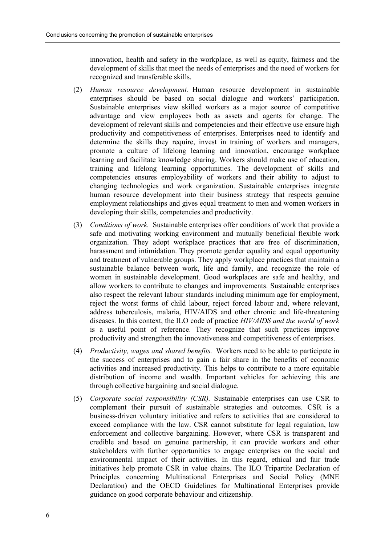innovation, health and safety in the workplace, as well as equity, fairness and the development of skills that meet the needs of enterprises and the need of workers for recognized and transferable skills.

- (2) *Human resource development.* Human resource development in sustainable enterprises should be based on social dialogue and workers' participation. Sustainable enterprises view skilled workers as a major source of competitive advantage and view employees both as assets and agents for change. The development of relevant skills and competencies and their effective use ensure high productivity and competitiveness of enterprises. Enterprises need to identify and determine the skills they require, invest in training of workers and managers, promote a culture of lifelong learning and innovation, encourage workplace learning and facilitate knowledge sharing. Workers should make use of education, training and lifelong learning opportunities. The development of skills and competencies ensures employability of workers and their ability to adjust to changing technologies and work organization. Sustainable enterprises integrate human resource development into their business strategy that respects genuine employment relationships and gives equal treatment to men and women workers in developing their skills, competencies and productivity.
- (3) *Conditions of work.* Sustainable enterprises offer conditions of work that provide a safe and motivating working environment and mutually beneficial flexible work organization. They adopt workplace practices that are free of discrimination, harassment and intimidation. They promote gender equality and equal opportunity and treatment of vulnerable groups. They apply workplace practices that maintain a sustainable balance between work, life and family, and recognize the role of women in sustainable development. Good workplaces are safe and healthy, and allow workers to contribute to changes and improvements. Sustainable enterprises also respect the relevant labour standards including minimum age for employment, reject the worst forms of child labour, reject forced labour and, where relevant, address tuberculosis, malaria, HIV/AIDS and other chronic and life-threatening diseases. In this context, the ILO code of practice *HIV/AIDS and the world of work* is a useful point of reference. They recognize that such practices improve productivity and strengthen the innovativeness and competitiveness of enterprises.
- (4) *Productivity, wages and shared benefits.* Workers need to be able to participate in the success of enterprises and to gain a fair share in the benefits of economic activities and increased productivity. This helps to contribute to a more equitable distribution of income and wealth. Important vehicles for achieving this are through collective bargaining and social dialogue.
- (5) *Corporate social responsibility (CSR).* Sustainable enterprises can use CSR to complement their pursuit of sustainable strategies and outcomes. CSR is a business-driven voluntary initiative and refers to activities that are considered to exceed compliance with the law. CSR cannot substitute for legal regulation, law enforcement and collective bargaining. However, where CSR is transparent and credible and based on genuine partnership, it can provide workers and other stakeholders with further opportunities to engage enterprises on the social and environmental impact of their activities. In this regard, ethical and fair trade initiatives help promote CSR in value chains. The ILO Tripartite Declaration of Principles concerning Multinational Enterprises and Social Policy (MNE Declaration) and the OECD Guidelines for Multinational Enterprises provide guidance on good corporate behaviour and citizenship.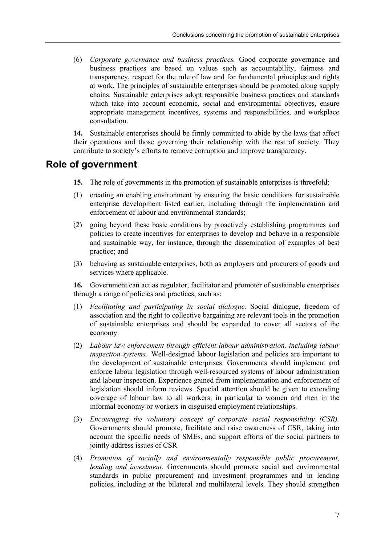(6) *Corporate governance and business practices.* Good corporate governance and business practices are based on values such as accountability, fairness and transparency, respect for the rule of law and for fundamental principles and rights at work. The principles of sustainable enterprises should be promoted along supply chains. Sustainable enterprises adopt responsible business practices and standards which take into account economic, social and environmental objectives, ensure appropriate management incentives, systems and responsibilities, and workplace consultation.

**14.** Sustainable enterprises should be firmly committed to abide by the laws that affect their operations and those governing their relationship with the rest of society. They contribute to society's efforts to remove corruption and improve transparency.

#### **Role of government**

- **15.** The role of governments in the promotion of sustainable enterprises is threefold:
- (1) creating an enabling environment by ensuring the basic conditions for sustainable enterprise development listed earlier, including through the implementation and enforcement of labour and environmental standards;
- (2) going beyond these basic conditions by proactively establishing programmes and policies to create incentives for enterprises to develop and behave in a responsible and sustainable way, for instance, through the dissemination of examples of best practice; and
- (3) behaving as sustainable enterprises, both as employers and procurers of goods and services where applicable.

**16.** Government can act as regulator, facilitator and promoter of sustainable enterprises through a range of policies and practices, such as:

- (1) *Facilitating and participating in social dialogue.* Social dialogue, freedom of association and the right to collective bargaining are relevant tools in the promotion of sustainable enterprises and should be expanded to cover all sectors of the economy.
- (2) *Labour law enforcement through efficient labour administration, including labour inspection systems.* Well-designed labour legislation and policies are important to the development of sustainable enterprises. Governments should implement and enforce labour legislation through well-resourced systems of labour administration and labour inspection. Experience gained from implementation and enforcement of legislation should inform reviews. Special attention should be given to extending coverage of labour law to all workers, in particular to women and men in the informal economy or workers in disguised employment relationships.
- (3) *Encouraging the voluntary concept of corporate social responsibility (CSR).*  Governments should promote, facilitate and raise awareness of CSR, taking into account the specific needs of SMEs, and support efforts of the social partners to jointly address issues of CSR.
- (4) *Promotion of socially and environmentally responsible public procurement, lending and investment.* Governments should promote social and environmental standards in public procurement and investment programmes and in lending policies, including at the bilateral and multilateral levels. They should strengthen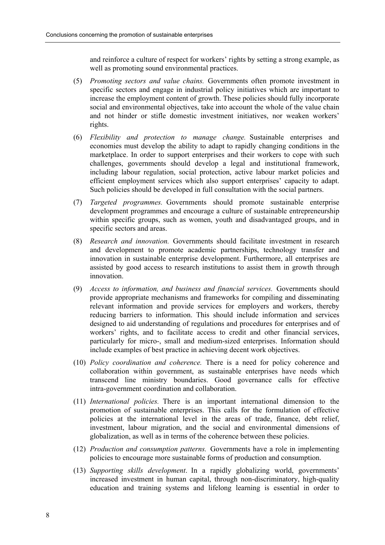and reinforce a culture of respect for workers' rights by setting a strong example, as well as promoting sound environmental practices.

- (5) *Promoting sectors and value chains.* Governments often promote investment in specific sectors and engage in industrial policy initiatives which are important to increase the employment content of growth. These policies should fully incorporate social and environmental objectives, take into account the whole of the value chain and not hinder or stifle domestic investment initiatives, nor weaken workers' rights.
- (6) *Flexibility and protection to manage change.* Sustainable enterprises and economies must develop the ability to adapt to rapidly changing conditions in the marketplace. In order to support enterprises and their workers to cope with such challenges, governments should develop a legal and institutional framework, including labour regulation, social protection, active labour market policies and efficient employment services which also support enterprises' capacity to adapt. Such policies should be developed in full consultation with the social partners.
- (7) *Targeted programmes.* Governments should promote sustainable enterprise development programmes and encourage a culture of sustainable entrepreneurship within specific groups, such as women, youth and disadvantaged groups, and in specific sectors and areas.
- (8) *Research and innovation.* Governments should facilitate investment in research and development to promote academic partnerships, technology transfer and innovation in sustainable enterprise development. Furthermore, all enterprises are assisted by good access to research institutions to assist them in growth through innovation.
- (9) *Access to information, and business and financial services.* Governments should provide appropriate mechanisms and frameworks for compiling and disseminating relevant information and provide services for employers and workers, thereby reducing barriers to information. This should include information and services designed to aid understanding of regulations and procedures for enterprises and of workers' rights, and to facilitate access to credit and other financial services, particularly for micro-, small and medium-sized enterprises. Information should include examples of best practice in achieving decent work objectives.
- (10) *Policy coordination and coherence.* There is a need for policy coherence and collaboration within government, as sustainable enterprises have needs which transcend line ministry boundaries. Good governance calls for effective intra-government coordination and collaboration.
- (11) *International policies.* There is an important international dimension to the promotion of sustainable enterprises. This calls for the formulation of effective policies at the international level in the areas of trade, finance, debt relief, investment, labour migration, and the social and environmental dimensions of globalization, as well as in terms of the coherence between these policies.
- (12) *Production and consumption patterns.* Governments have a role in implementing policies to encourage more sustainable forms of production and consumption.
- (13) *Supporting skills development*. In a rapidly globalizing world, governments' increased investment in human capital, through non-discriminatory, high-quality education and training systems and lifelong learning is essential in order to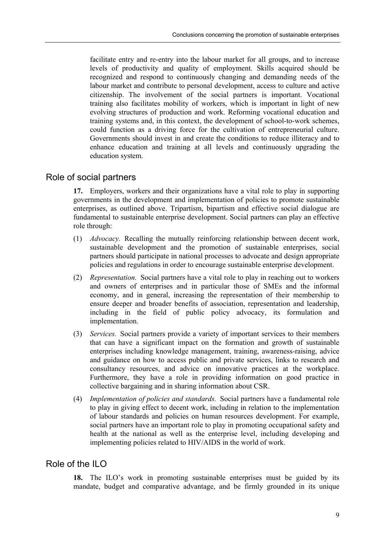facilitate entry and re-entry into the labour market for all groups, and to increase levels of productivity and quality of employment. Skills acquired should be recognized and respond to continuously changing and demanding needs of the labour market and contribute to personal development, access to culture and active citizenship. The involvement of the social partners is important. Vocational training also facilitates mobility of workers, which is important in light of new evolving structures of production and work. Reforming vocational education and training systems and, in this context, the development of school-to-work schemes, could function as a driving force for the cultivation of entrepreneurial culture. Governments should invest in and create the conditions to reduce illiteracy and to enhance education and training at all levels and continuously upgrading the education system.

#### Role of social partners

**17.** Employers, workers and their organizations have a vital role to play in supporting governments in the development and implementation of policies to promote sustainable enterprises, as outlined above. Tripartism, bipartism and effective social dialogue are fundamental to sustainable enterprise development. Social partners can play an effective role through:

- (1) *Advocacy.* Recalling the mutually reinforcing relationship between decent work, sustainable development and the promotion of sustainable enterprises, social partners should participate in national processes to advocate and design appropriate policies and regulations in order to encourage sustainable enterprise development.
- (2) *Representation.* Social partners have a vital role to play in reaching out to workers and owners of enterprises and in particular those of SMEs and the informal economy, and in general, increasing the representation of their membership to ensure deeper and broader benefits of association, representation and leadership, including in the field of public policy advocacy, its formulation and implementation.
- (3) *Services.* Social partners provide a variety of important services to their members that can have a significant impact on the formation and growth of sustainable enterprises including knowledge management, training, awareness-raising, advice and guidance on how to access public and private services, links to research and consultancy resources, and advice on innovative practices at the workplace. Furthermore, they have a role in providing information on good practice in collective bargaining and in sharing information about CSR.
- (4) *Implementation of policies and standards.* Social partners have a fundamental role to play in giving effect to decent work, including in relation to the implementation of labour standards and policies on human resources development. For example, social partners have an important role to play in promoting occupational safety and health at the national as well as the enterprise level, including developing and implementing policies related to HIV/AIDS in the world of work.

#### Role of the ILO

**18.** The ILO's work in promoting sustainable enterprises must be guided by its mandate, budget and comparative advantage, and be firmly grounded in its unique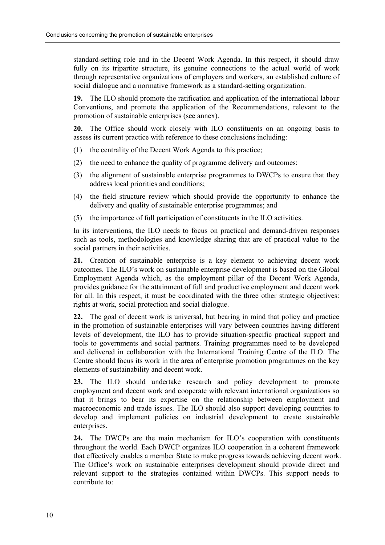standard-setting role and in the Decent Work Agenda. In this respect, it should draw fully on its tripartite structure, its genuine connections to the actual world of work through representative organizations of employers and workers, an established culture of social dialogue and a normative framework as a standard-setting organization.

**19.** The ILO should promote the ratification and application of the international labour Conventions, and promote the application of the Recommendations, relevant to the promotion of sustainable enterprises (see annex).

**20.** The Office should work closely with ILO constituents on an ongoing basis to assess its current practice with reference to these conclusions including:

- (1) the centrality of the Decent Work Agenda to this practice;
- (2) the need to enhance the quality of programme delivery and outcomes;
- (3) the alignment of sustainable enterprise programmes to DWCPs to ensure that they address local priorities and conditions;
- (4) the field structure review which should provide the opportunity to enhance the delivery and quality of sustainable enterprise programmes; and
- (5) the importance of full participation of constituents in the ILO activities.

In its interventions, the ILO needs to focus on practical and demand-driven responses such as tools, methodologies and knowledge sharing that are of practical value to the social partners in their activities.

**21.** Creation of sustainable enterprise is a key element to achieving decent work outcomes. The ILO's work on sustainable enterprise development is based on the Global Employment Agenda which, as the employment pillar of the Decent Work Agenda, provides guidance for the attainment of full and productive employment and decent work for all. In this respect, it must be coordinated with the three other strategic objectives: rights at work, social protection and social dialogue.

**22.** The goal of decent work is universal, but bearing in mind that policy and practice in the promotion of sustainable enterprises will vary between countries having different levels of development, the ILO has to provide situation-specific practical support and tools to governments and social partners. Training programmes need to be developed and delivered in collaboration with the International Training Centre of the ILO. The Centre should focus its work in the area of enterprise promotion programmes on the key elements of sustainability and decent work.

**23.** The ILO should undertake research and policy development to promote employment and decent work and cooperate with relevant international organizations so that it brings to bear its expertise on the relationship between employment and macroeconomic and trade issues. The ILO should also support developing countries to develop and implement policies on industrial development to create sustainable enterprises.

**24.** The DWCPs are the main mechanism for ILO's cooperation with constituents throughout the world. Each DWCP organizes ILO cooperation in a coherent framework that effectively enables a member State to make progress towards achieving decent work. The Office's work on sustainable enterprises development should provide direct and relevant support to the strategies contained within DWCPs. This support needs to contribute to: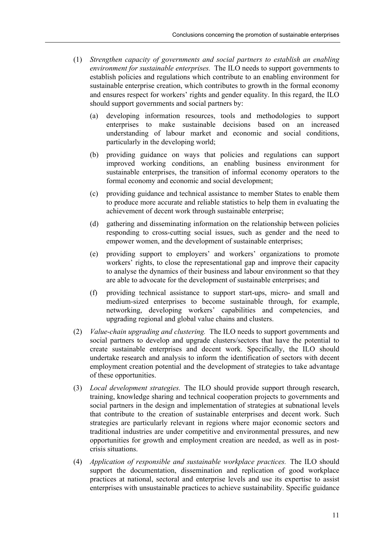- (1) *Strengthen capacity of governments and social partners to establish an enabling environment for sustainable enterprises.* The ILO needs to support governments to establish policies and regulations which contribute to an enabling environment for sustainable enterprise creation, which contributes to growth in the formal economy and ensures respect for workers' rights and gender equality. In this regard, the ILO should support governments and social partners by:
	- (a) developing information resources, tools and methodologies to support enterprises to make sustainable decisions based on an increased understanding of labour market and economic and social conditions, particularly in the developing world;
	- (b) providing guidance on ways that policies and regulations can support improved working conditions, an enabling business environment for sustainable enterprises, the transition of informal economy operators to the formal economy and economic and social development;
	- (c) providing guidance and technical assistance to member States to enable them to produce more accurate and reliable statistics to help them in evaluating the achievement of decent work through sustainable enterprise;
	- (d) gathering and disseminating information on the relationship between policies responding to cross-cutting social issues, such as gender and the need to empower women, and the development of sustainable enterprises;
	- (e) providing support to employers' and workers' organizations to promote workers' rights, to close the representational gap and improve their capacity to analyse the dynamics of their business and labour environment so that they are able to advocate for the development of sustainable enterprises; and
	- (f) providing technical assistance to support start-ups, micro- and small and medium-sized enterprises to become sustainable through, for example, networking, developing workers' capabilities and competencies, and upgrading regional and global value chains and clusters.
- (2) *Value-chain upgrading and clustering.* The ILO needs to support governments and social partners to develop and upgrade clusters/sectors that have the potential to create sustainable enterprises and decent work. Specifically, the ILO should undertake research and analysis to inform the identification of sectors with decent employment creation potential and the development of strategies to take advantage of these opportunities.
- (3) *Local development strategies.* The ILO should provide support through research, training, knowledge sharing and technical cooperation projects to governments and social partners in the design and implementation of strategies at subnational levels that contribute to the creation of sustainable enterprises and decent work. Such strategies are particularly relevant in regions where major economic sectors and traditional industries are under competitive and environmental pressures, and new opportunities for growth and employment creation are needed, as well as in postcrisis situations.
- (4) *Application of responsible and sustainable workplace practices.* The ILO should support the documentation, dissemination and replication of good workplace practices at national, sectoral and enterprise levels and use its expertise to assist enterprises with unsustainable practices to achieve sustainability. Specific guidance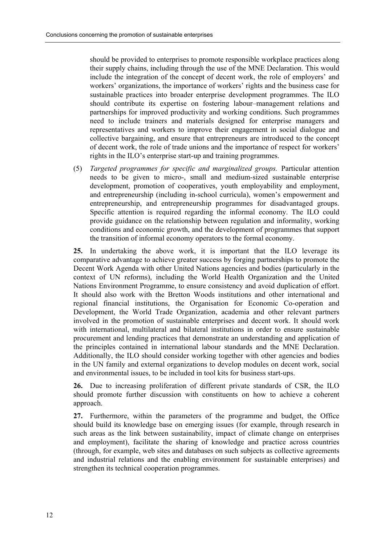should be provided to enterprises to promote responsible workplace practices along their supply chains, including through the use of the MNE Declaration. This would include the integration of the concept of decent work, the role of employers' and workers' organizations, the importance of workers' rights and the business case for sustainable practices into broader enterprise development programmes. The ILO should contribute its expertise on fostering labour–management relations and partnerships for improved productivity and working conditions. Such programmes need to include trainers and materials designed for enterprise managers and representatives and workers to improve their engagement in social dialogue and collective bargaining, and ensure that entrepreneurs are introduced to the concept of decent work, the role of trade unions and the importance of respect for workers' rights in the ILO's enterprise start-up and training programmes.

(5) *Targeted programmes for specific and marginalized groups.* Particular attention needs to be given to micro-, small and medium-sized sustainable enterprise development, promotion of cooperatives, youth employability and employment, and entrepreneurship (including in-school curricula), women's empowerment and entrepreneurship, and entrepreneurship programmes for disadvantaged groups. Specific attention is required regarding the informal economy. The ILO could provide guidance on the relationship between regulation and informality, working conditions and economic growth, and the development of programmes that support the transition of informal economy operators to the formal economy.

**25.** In undertaking the above work, it is important that the ILO leverage its comparative advantage to achieve greater success by forging partnerships to promote the Decent Work Agenda with other United Nations agencies and bodies (particularly in the context of UN reforms), including the World Health Organization and the United Nations Environment Programme, to ensure consistency and avoid duplication of effort. It should also work with the Bretton Woods institutions and other international and regional financial institutions, the Organisation for Economic Co-operation and Development, the World Trade Organization, academia and other relevant partners involved in the promotion of sustainable enterprises and decent work. It should work with international, multilateral and bilateral institutions in order to ensure sustainable procurement and lending practices that demonstrate an understanding and application of the principles contained in international labour standards and the MNE Declaration. Additionally, the ILO should consider working together with other agencies and bodies in the UN family and external organizations to develop modules on decent work, social and environmental issues, to be included in tool kits for business start-ups.

**26.** Due to increasing proliferation of different private standards of CSR, the ILO should promote further discussion with constituents on how to achieve a coherent approach.

**27.** Furthermore, within the parameters of the programme and budget, the Office should build its knowledge base on emerging issues (for example, through research in such areas as the link between sustainability, impact of climate change on enterprises and employment), facilitate the sharing of knowledge and practice across countries (through, for example, web sites and databases on such subjects as collective agreements and industrial relations and the enabling environment for sustainable enterprises) and strengthen its technical cooperation programmes.